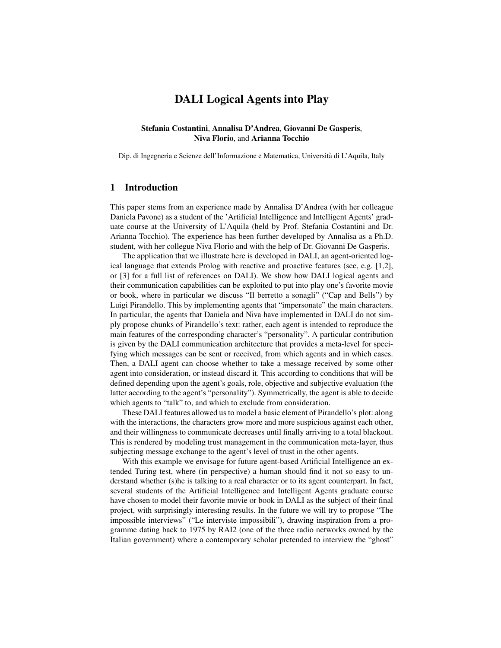# DALI Logical Agents into Play

#### Stefania Costantini, Annalisa D'Andrea, Giovanni De Gasperis, Niva Florio, and Arianna Tocchio

Dip. di Ingegneria e Scienze dell'Informazione e Matematica, Universita di L'Aquila, Italy `

### 1 Introduction

This paper stems from an experience made by Annalisa D'Andrea (with her colleague Daniela Pavone) as a student of the 'Artificial Intelligence and Intelligent Agents' graduate course at the University of L'Aquila (held by Prof. Stefania Costantini and Dr. Arianna Tocchio). The experience has been further developed by Annalisa as a Ph.D. student, with her collegue Niva Florio and with the help of Dr. Giovanni De Gasperis.

The application that we illustrate here is developed in DALI, an agent-oriented logical language that extends Prolog with reactive and proactive features (see, e.g. [1,2], or [3] for a full list of references on DALI). We show how DALI logical agents and their communication capabilities can be exploited to put into play one's favorite movie or book, where in particular we discuss "Il berretto a sonagli" ("Cap and Bells") by Luigi Pirandello. This by implementing agents that "impersonate" the main characters. In particular, the agents that Daniela and Niva have implemented in DALI do not simply propose chunks of Pirandello's text: rather, each agent is intended to reproduce the main features of the corresponding character's "personality". A particular contribution is given by the DALI communication architecture that provides a meta-level for specifying which messages can be sent or received, from which agents and in which cases. Then, a DALI agent can choose whether to take a message received by some other agent into consideration, or instead discard it. This according to conditions that will be defined depending upon the agent's goals, role, objective and subjective evaluation (the latter according to the agent's "personality"). Symmetrically, the agent is able to decide which agents to "talk" to, and which to exclude from consideration.

These DALI features allowed us to model a basic element of Pirandello's plot: along with the interactions, the characters grow more and more suspicious against each other, and their willingness to communicate decreases until finally arriving to a total blackout. This is rendered by modeling trust management in the communication meta-layer, thus subjecting message exchange to the agent's level of trust in the other agents.

With this example we envisage for future agent-based Artificial Intelligence an extended Turing test, where (in perspective) a human should find it not so easy to understand whether (s)he is talking to a real character or to its agent counterpart. In fact, several students of the Artificial Intelligence and Intelligent Agents graduate course have chosen to model their favorite movie or book in DALI as the subject of their final project, with surprisingly interesting results. In the future we will try to propose "The impossible interviews" ("Le interviste impossibili"), drawing inspiration from a programme dating back to 1975 by RAI2 (one of the three radio networks owned by the Italian government) where a contemporary scholar pretended to interview the "ghost"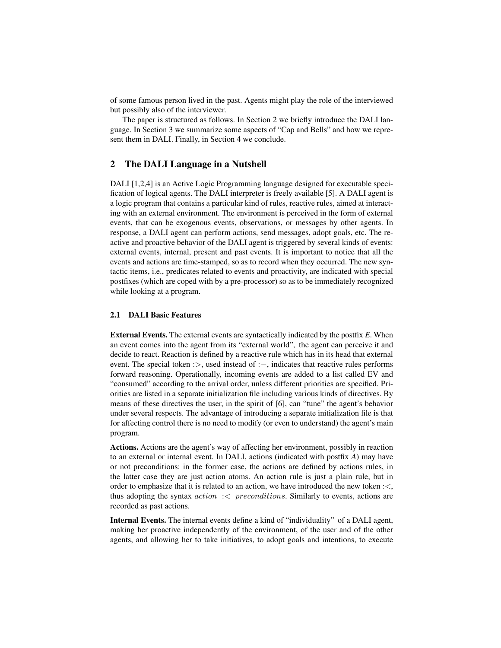of some famous person lived in the past. Agents might play the role of the interviewed but possibly also of the interviewer.

The paper is structured as follows. In Section 2 we briefly introduce the DALI language. In Section 3 we summarize some aspects of "Cap and Bells" and how we represent them in DALI. Finally, in Section 4 we conclude.

## 2 The DALI Language in a Nutshell

DALI [1,2,4] is an Active Logic Programming language designed for executable specification of logical agents. The DALI interpreter is freely available [5]. A DALI agent is a logic program that contains a particular kind of rules, reactive rules, aimed at interacting with an external environment. The environment is perceived in the form of external events, that can be exogenous events, observations, or messages by other agents. In response, a DALI agent can perform actions, send messages, adopt goals, etc. The reactive and proactive behavior of the DALI agent is triggered by several kinds of events: external events, internal, present and past events. It is important to notice that all the events and actions are time-stamped, so as to record when they occurred. The new syntactic items, i.e., predicates related to events and proactivity, are indicated with special postfixes (which are coped with by a pre-processor) so as to be immediately recognized while looking at a program.

#### 2.1 DALI Basic Features

External Events. The external events are syntactically indicated by the postfix *E*. When an event comes into the agent from its "external world", the agent can perceive it and decide to react. Reaction is defined by a reactive rule which has in its head that external event. The special token :>, used instead of :-, indicates that reactive rules performs forward reasoning. Operationally, incoming events are added to a list called EV and "consumed" according to the arrival order, unless different priorities are specified. Priorities are listed in a separate initialization file including various kinds of directives. By means of these directives the user, in the spirit of [6], can "tune" the agent's behavior under several respects. The advantage of introducing a separate initialization file is that for affecting control there is no need to modify (or even to understand) the agent's main program.

Actions. Actions are the agent's way of affecting her environment, possibly in reaction to an external or internal event. In DALI, actions (indicated with postfix *A*) may have or not preconditions: in the former case, the actions are defined by actions rules, in the latter case they are just action atoms. An action rule is just a plain rule, but in order to emphasize that it is related to an action, we have introduced the new token :<, thus adopting the syntax  $action \leq preconditions$ . Similarly to events, actions are recorded as past actions.

Internal Events. The internal events define a kind of "individuality" of a DALI agent, making her proactive independently of the environment, of the user and of the other agents, and allowing her to take initiatives, to adopt goals and intentions, to execute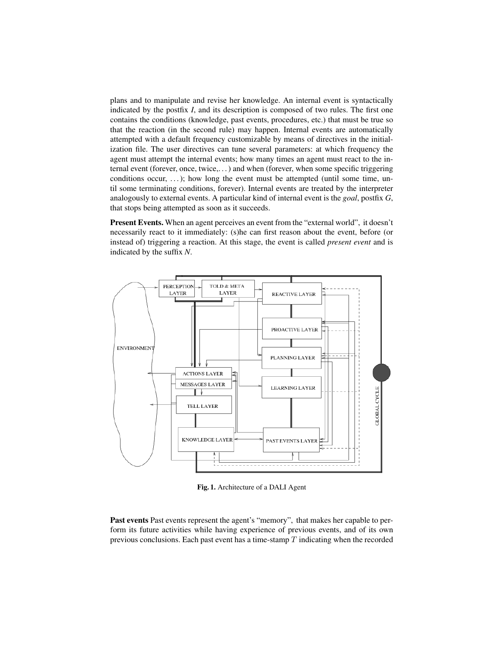plans and to manipulate and revise her knowledge. An internal event is syntactically indicated by the postfix *I*, and its description is composed of two rules. The first one contains the conditions (knowledge, past events, procedures, etc.) that must be true so that the reaction (in the second rule) may happen. Internal events are automatically attempted with a default frequency customizable by means of directives in the initialization file. The user directives can tune several parameters: at which frequency the agent must attempt the internal events; how many times an agent must react to the internal event (forever, once, twice,. . . ) and when (forever, when some specific triggering conditions occur, ...); how long the event must be attempted (until some time, until some terminating conditions, forever). Internal events are treated by the interpreter analogously to external events. A particular kind of internal event is the *goal*, postfix *G*, that stops being attempted as soon as it succeeds.

Present Events. When an agent perceives an event from the "external world", it doesn't necessarily react to it immediately: (s)he can first reason about the event, before (or instead of) triggering a reaction. At this stage, the event is called *present event* and is indicated by the suffix *N*.



Fig. 1. Architecture of a DALI Agent

Past events Past events represent the agent's "memory", that makes her capable to perform its future activities while having experience of previous events, and of its own previous conclusions. Each past event has a time-stamp  $T$  indicating when the recorded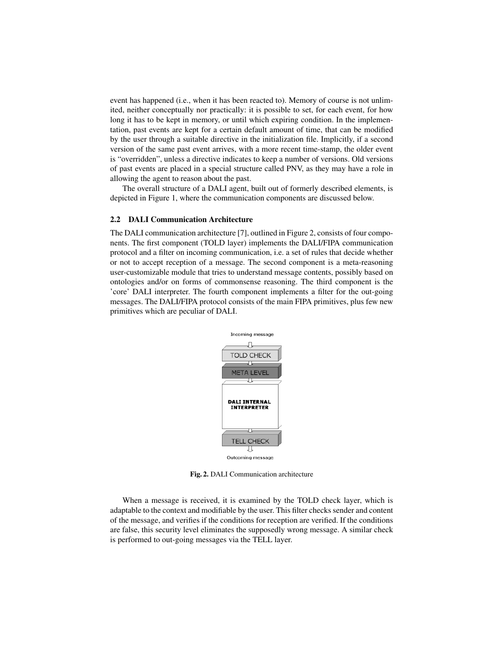event has happened (i.e., when it has been reacted to). Memory of course is not unlimited, neither conceptually nor practically: it is possible to set, for each event, for how long it has to be kept in memory, or until which expiring condition. In the implementation, past events are kept for a certain default amount of time, that can be modified by the user through a suitable directive in the initialization file. Implicitly, if a second version of the same past event arrives, with a more recent time-stamp, the older event is "overridden", unless a directive indicates to keep a number of versions. Old versions of past events are placed in a special structure called PNV, as they may have a role in allowing the agent to reason about the past.

The overall structure of a DALI agent, built out of formerly described elements, is depicted in Figure 1, where the communication components are discussed below.

#### 2.2 DALI Communication Architecture

The DALI communication architecture [7], outlined in Figure 2, consists of four components. The first component (TOLD layer) implements the DALI/FIPA communication protocol and a filter on incoming communication, i.e. a set of rules that decide whether or not to accept reception of a message. The second component is a meta-reasoning user-customizable module that tries to understand message contents, possibly based on ontologies and/or on forms of commonsense reasoning. The third component is the 'core' DALI interpreter. The fourth component implements a filter for the out-going messages. The DALI/FIPA protocol consists of the main FIPA primitives, plus few new primitives which are peculiar of DALI.



Fig. 2. DALI Communication architecture

When a message is received, it is examined by the TOLD check layer, which is adaptable to the context and modifiable by the user. This filter checks sender and content of the message, and verifies if the conditions for reception are verified. If the conditions are false, this security level eliminates the supposedly wrong message. A similar check is performed to out-going messages via the TELL layer.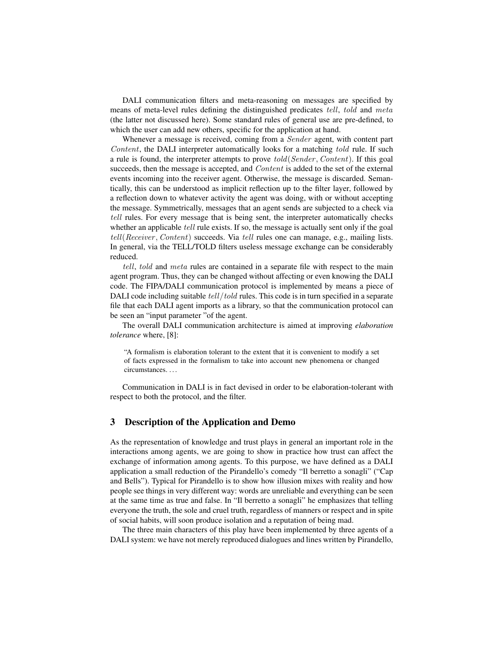DALI communication filters and meta-reasoning on messages are specified by means of meta-level rules defining the distinguished predicates *tell*, *told* and *meta* (the latter not discussed here). Some standard rules of general use are pre-defined, to which the user can add new others, specific for the application at hand.

Whenever a message is received, coming from a Sender agent, with content part Content, the DALI interpreter automatically looks for a matching told rule. If such a rule is found, the interpreter attempts to prove told(Sender , Content). If this goal succeeds, then the message is accepted, and Content is added to the set of the external events incoming into the receiver agent. Otherwise, the message is discarded. Semantically, this can be understood as implicit reflection up to the filter layer, followed by a reflection down to whatever activity the agent was doing, with or without accepting the message. Symmetrically, messages that an agent sends are subjected to a check via tell rules. For every message that is being sent, the interpreter automatically checks whether an applicable *tell* rule exists. If so, the message is actually sent only if the goal tell(Receiver , Content) succeeds. Via tell rules one can manage, e.g., mailing lists. In general, via the TELL/TOLD filters useless message exchange can be considerably reduced.

tell, told and meta rules are contained in a separate file with respect to the main agent program. Thus, they can be changed without affecting or even knowing the DALI code. The FIPA/DALI communication protocol is implemented by means a piece of DALI code including suitable tell/told rules. This code is in turn specified in a separate file that each DALI agent imports as a library, so that the communication protocol can be seen an "input parameter "of the agent.

The overall DALI communication architecture is aimed at improving *elaboration tolerance* where, [8]:

"A formalism is elaboration tolerant to the extent that it is convenient to modify a set of facts expressed in the formalism to take into account new phenomena or changed circumstances. . . .

Communication in DALI is in fact devised in order to be elaboration-tolerant with respect to both the protocol, and the filter.

## 3 Description of the Application and Demo

As the representation of knowledge and trust plays in general an important role in the interactions among agents, we are going to show in practice how trust can affect the exchange of information among agents. To this purpose, we have defined as a DALI application a small reduction of the Pirandello's comedy "Il berretto a sonagli" ("Cap and Bells"). Typical for Pirandello is to show how illusion mixes with reality and how people see things in very different way: words are unreliable and everything can be seen at the same time as true and false. In "Il berretto a sonagli" he emphasizes that telling everyone the truth, the sole and cruel truth, regardless of manners or respect and in spite of social habits, will soon produce isolation and a reputation of being mad.

The three main characters of this play have been implemented by three agents of a DALI system: we have not merely reproduced dialogues and lines written by Pirandello,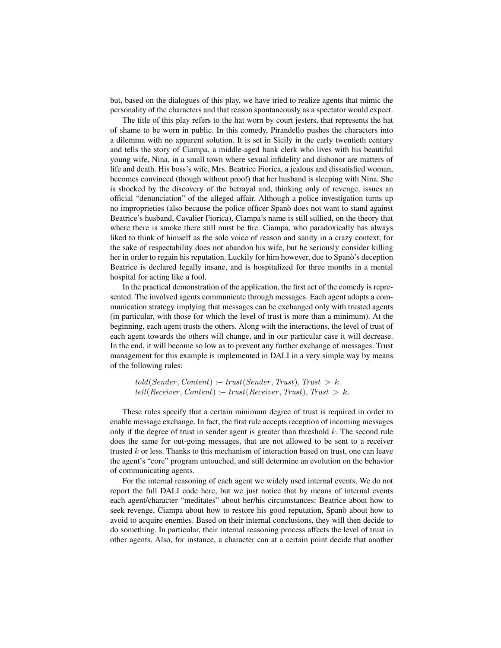but, based on the dialogues of this play, we have tried to realize agents that mimic the personality of the characters and that reason spontaneously as a spectator would expect.

The title of this play refers to the hat worn by court jesters, that represents the hat of shame to be worn in public. In this comedy, Pirandello pushes the characters into a dilemma with no apparent solution. It is set in Sicily in the early twentieth century and tells the story of Ciampa, a middle-aged bank clerk who lives with his beautiful young wife, Nina, in a small town where sexual infidelity and dishonor are matters of life and death. His boss's wife, Mrs. Beatrice Fiorica, a jealous and dissatisfied woman, becomes convinced (though without proof) that her husband is sleeping with Nina. She is shocked by the discovery of the betrayal and, thinking only of revenge, issues an official "denunciation" of the alleged affair. Although a police investigation turns up no improprieties (also because the police officer Spano does not want to stand against Beatrice's husband, Cavalier Fiorica), Ciampa's name is still sullied, on the theory that where there is smoke there still must be fire. Ciampa, who paradoxically has always liked to think of himself as the sole voice of reason and sanity in a crazy context, for the sake of respectability does not abandon his wife, but he seriously consider killing her in order to regain his reputation. Luckily for him however, due to Spano's deception Beatrice is declared legally insane, and is hospitalized for three months in a mental hospital for acting like a fool.

In the practical demonstration of the application, the first act of the comedy is represented. The involved agents communicate through messages. Each agent adopts a communication strategy implying that messages can be exchanged only with trusted agents (in particular, with those for which the level of trust is more than a minimum). At the beginning, each agent trusts the others. Along with the interactions, the level of trust of each agent towards the others will change, and in our particular case it will decrease. In the end, it will become so low as to prevent any further exchange of messages. Trust management for this example is implemented in DALI in a very simple way by means of the following rules:

 $told(Sender, Content) := trust(Sender, Trust), Trust > k.$  $tell(Receiver, Content) :- trust(Receiver, Trust), Trust > k.$ 

These rules specify that a certain minimum degree of trust is required in order to enable message exchange. In fact, the first rule accepts reception of incoming messages only if the degree of trust in sender agent is greater than threshold  $k$ . The second rule does the same for out-going messages, that are not allowed to be sent to a receiver trusted  $k$  or less. Thanks to this mechanism of interaction based on trust, one can leave the agent's "core" program untouched, and still determine an evolution on the behavior of communicating agents.

For the internal reasoning of each agent we widely used internal events. We do not report the full DALI code here, but we just notice that by means of internal events each agent/character "meditates" about her/his circumstances: Beatrice about how to seek revenge, Ciampa about how to restore his good reputation, Spano about how to avoid to acquire enemies. Based on their internal conclusions, they will then decide to do something. In particular, their internal reasoning process affects the level of trust in other agents. Also, for instance, a character can at a certain point decide that another